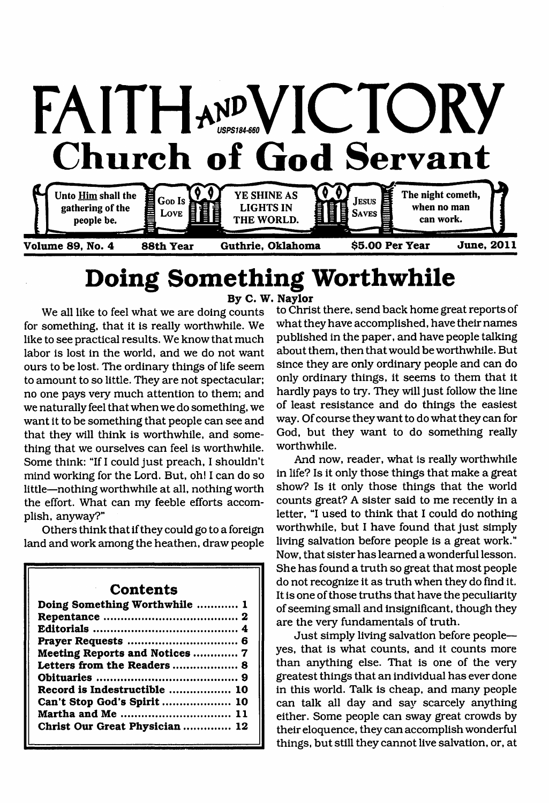

**Volume 89, No. 4 88th Year**

**Guthrie, Oklahoma \$5.00 Per Year June, 2011**

# **Doing Something Worthwhile**

**By C. W, Naylor**

We all like to feel what we are doing counts for something, that it is really worthwhile. We like to see practical results. We know that much labor is lost in the world, and we do not want ours to be lost. The ordinary things of life seem to amount to so little. They are not spectacular; no one pays very much attention to them; and we naturally feel that when we do something, we want it to be something that people can see and that they will think is worthwhile, and something that we ourselves can feel is worthwhile. Some think; "If I could just preach, I shouldn't mind working for the Lord. But, oh! I can do so little—nothing worthwhile at all, nothing worth the effort. What can my feeble efforts accomplish, anyway?"

Others think that if they could go to a foreign land and work among the heathen, draw people

#### **Contents**

| Doing Something Worthwhile  1                    |
|--------------------------------------------------|
|                                                  |
|                                                  |
| Meeting Reports and Notices  7                   |
| Letters from the Readers  8                      |
|                                                  |
| Record is Indestructible  10                     |
| Can't Stop God's Spirit  10<br>Martha and Me  11 |
| Christ Our Great Physician  12                   |
|                                                  |

to Christ there, send back home great reports of what they have accomplished, have their names published in the paper, and have people talking about them, then that would be worthwhile. But since they are only ordinary people and can do only ordinary things, it seems to them that it hardly pays to try. They will just follow the line of least resistance and do things the easiest way. Of course they want to do what they can for God, but they want to do something really worthwhile.

And now, reader, what is really worthwhile in life? Is it only those things that make a great show? Is it only those things that the world counts great? A sister said to me recently in a letter, "I used to think that I could do nothing worthwhile, but I have found that just simply living salvation before people is a great work." Now, that sister has learned a wonderful lesson. She has found a truth so great that most people do not recognize it as truth when they do find it. It is one of those truths that have the peculiarity of seeming small and insignificant, though they are the very fundamentals of truth.

Just simply living salvation before people yes, that is what counts, and it counts more than anything else. That is one of the very greatest things that an individual has ever done in this world. Talk is cheap, and many people can talk all day and say scarcely anything either. Some people can sway great crowds by their eloquence, they can accomplish wonderful things, but still they cannot live salvation, or, at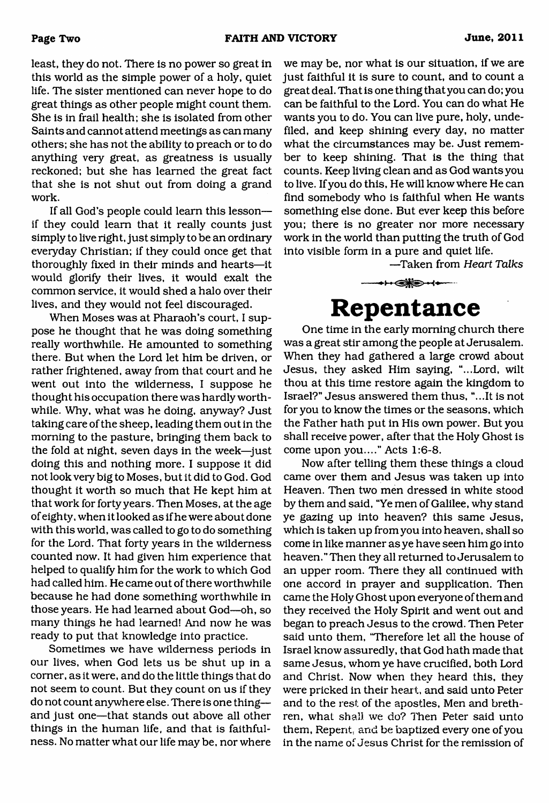least, they do not. There is no power so great in this world as the simple power of a holy, quiet life. The sister mentioned can never hope to do great things as other people might count them. She is in frail health; she is isolated from other Saints and cannot attend meetings as can many others; she has not the ability to preach or to do anything very great, as greatness is usually reckoned; but she has learned the great fact that she is not shut out from doing a grand work.

If all God's people could learn this lesson if they could learn that it really counts just simply to live right, just simply to be an ordinary everyday Christian; if they could once get that thoroughly fixed in their minds and hearts—it would glorify their lives, it would exalt the common service, it would shed a halo over their lives, and they would not feel discouraged.

When Moses was at Pharaoh's court, I suppose he thought that he was doing something really worthwhile. He amounted to something there. But when the Lord let him be driven, or rather frightened, away from that court and he went out into the wilderness, I suppose he thought his occupation there was hardly worthwhile. Why, what was he doing, anyway? Just taking care of the sheep, leading them out in the morning to the pasture, bringing them back to the fold at night, seven days in the week—just doing this and nothing more. I suppose it did not look very big to Moses, but it did to God. God thought it worth so much that He kept him at that work for forty years. Then Moses, at the age of eighty, when it looked as if he were about done with this world, was called to go to do something for the Lord. That forty years in the wilderness counted now. It had given him experience that helped to qualify him for the work to which God had called him. He came out of there worthwhile because he had done something worthwhile in those years. He had learned about God—oh, so many things he had learned! And now he was ready to put that knowledge into practice.

Sometimes we have wilderness periods in our lives, when God lets us be shut up in a comer, as it were, and do the little things that do not seem to count. But they count on us if they do not count anywhere else. There is one thing and just one—that stands out above all other things in the human life, and that is faithfulness. No matter what our life may be, nor where

we may be, nor what is our situation, if we are just faithful it is sure to count, and to count a great deal. That is one thing that you can do; you can be faithful to the Lord. You can do what He wants you to do. You can live pure, holy, undefiled, and keep shining every day, no matter what the circumstances may be. Just remember to keep shining. That is the thing that counts. Keep living clean and as God wants you to live. If you do this, He will know where He can find somebody who is faithful when He wants something else done. But ever keep this before you; there is no greater nor more necessary work in the world than putting the truth of God into visible form in a pure and quiet life.

 $-$ Taken from *Heart Talks* 

## **Repentance**

+⊦←s

One time in the early morning church there was a great stir among the people at Jerusalem. When they had gathered a large crowd about Jesus, they asked Him saying, "...Lord, wilt thou at this time restore again the kingdom to Israel?" Jesus answered them thus, "...It is not for you to know the times or the seasons, which the Father hath put in His own power. But you shall receive power, after that the Holy Ghost is come upon you...." Acts 1:6-8.

Now after telling them these things a cloud came over them and Jesus was taken up into Heaven. Then two men dressed in white stood by them and said, "Ye men of Galilee, why stand ye gazing up into heaven? this same Jesus, which is taken up from you into heaven, shall so come in like manner as ye have seen him go into heaven." Then they all returned to Jerusalem to an upper room. There they all continued with one accord in prayer and supplication. Then came the Holy Ghost upon everyone of them and they received the Holy Spirit and went out and began to preach Jesus to the crowd. Then Peter said unto them, 'Therefore let all the house of Israel know assuredly, that God hath made that same Jesus, whom ye have crucified, both Lord and Christ. Now when they heard this, they were pricked in their heart, and said unto Peter and to the rest of the apostles, Men and brethren, what shall we do? Then Peter said unto them, Repent, and be baptized every one of you in the name of Jesus Christ for the remission of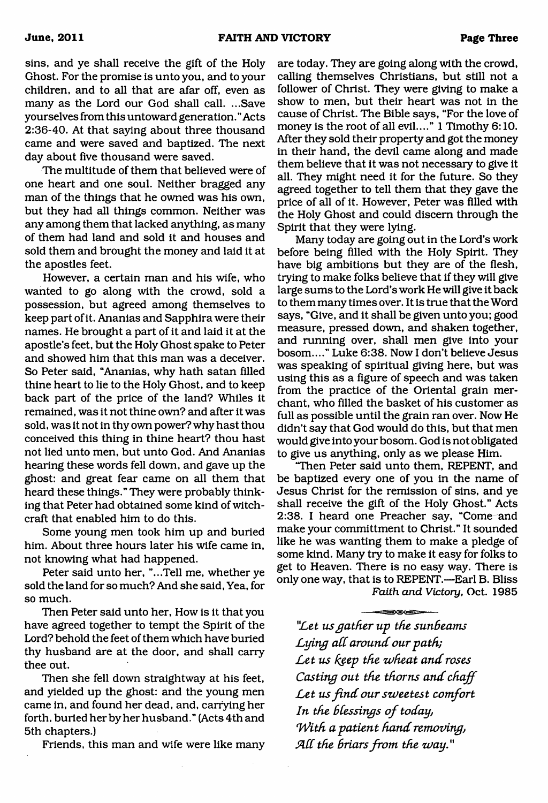sins, and ye shall receive the gift of the Holy Ghost. For the promise is unto you, and to your children, and to all that are afar off, even as many as the Lord our God shall call. ...Save yourselves from this untoward generation." Acts 2:36-40. At that saying about three thousand came and were saved and baptized. The next day about five thousand were saved.

The multitude of them that believed were of one heart and one soul. Neither bragged any man of the things that he owned was his own, but they had all things common. Neither was any among them that lacked anything, as many of them had land and sold it and houses and sold them and brought the money and laid it at the apostles feet.

However, a certain man and his wife, who wanted to go along with the crowd, sold a possession, but agreed among themselves to keep part of it. Ananias and Sapphira were their names. He brought a part of it and laid it at the apostle's feet, but the Holy Ghost spake to Peter and showed him that this man was a deceiver. So Peter said, "Ananias, why hath satan filled thine heart to lie to the Holy Ghost, and to keep back part of the price of the land? Whiles it remained, was it not thine own? and after it was sold, was it not in thy own power? why hast thou conceived this thing in thine heart? thou hast not lied unto men, but unto God. And Ananias hearing these words fell down, and gave up the ghost: and great fear came on all them that heard these things." They were probably thinking that Peter had obtained some kind of witchcraft that enabled him to do this.

Some young men took him up and buried him. About three hours later his wife came in, not knowing what had happened.

Peter said unto her, "...Tell me, whether ye sold the land for so much? And she said. Yea, for so much.

Then Peter said unto her, How is it that you have agreed together to tempt the Spirit of the Lord? behold the feet of them which have buried thy husband are at the door, and shall carry thee out.

Then she fell down straightway at his feet, and yielded up the ghost: and the young men came in, and found her dead, and, carrying her forth, buried her by her husband." (Acts 4th and 5th chapters.)

Friends, this man and wife were like many

are today. They are going along with the crowd, calling themselves Christians, but still not a follower of Christ. They were giving to make a show to men, but their heart was not in the cause of Christ. The Bible says, "For the love of money is the root of all evil...." 1 Timothy 6:10. After they sold their property and got the money in their hand, the devil came along and made them believe that it was not necessary to give it all. They might need it for the future. So they agreed together to tell them that they gave the price of all of it. However, Peter was filled with the Holy Ghost and could discern through the Spirit that they were lying.

Many today are going out in the Lord's work before being filled with the Holy Spirit. They have big ambitions but they are of the flesh, trying to make folks believe that if they will give large sums to the Lord's work He will give it back to them many times over. It is true that the Word says, "Give, and it shall be given unto you; good measure, pressed down, and shaken together, and running over, shall men give into your bosom...." Luke 6:38. Now I don't believe Jesus was speaking of spiritual giving here, but was using this as a figure of speech and was taken from the practice of the Oriental grain merchant, who filled the basket of his customer as full as possible until the grain ran over. Now He didn't say that God would do this, but that men would give into your bosom. God is not obligated to give us anything, only as we please Him.

"Then Peter said unto them, REPENT, and be baptized every one of you in the name of Jesus Christ for the remission of sins, and ye shall receive the gift of the Holy Ghost." Acts 2:38. I heard one Preacher say, "Come and make your committment to Christ." It sounded like he was wanting them to make a pledge of some kind. Many try to make it easy for folks to get to Heaven. There is no easy way. There is only one way, that is to REPENT.—Earl B. Bliss *Faith and Victory, Oct. 1985* 

- 00

*"Let us gather up the sunB earns* Lying all around our path; Let us keep the wheat and roses *Casting out the thorns and chaff* Let us find our sweetest comfort *In the blessings of today, \*With a pa tien t hand removing,* All the briars from the way."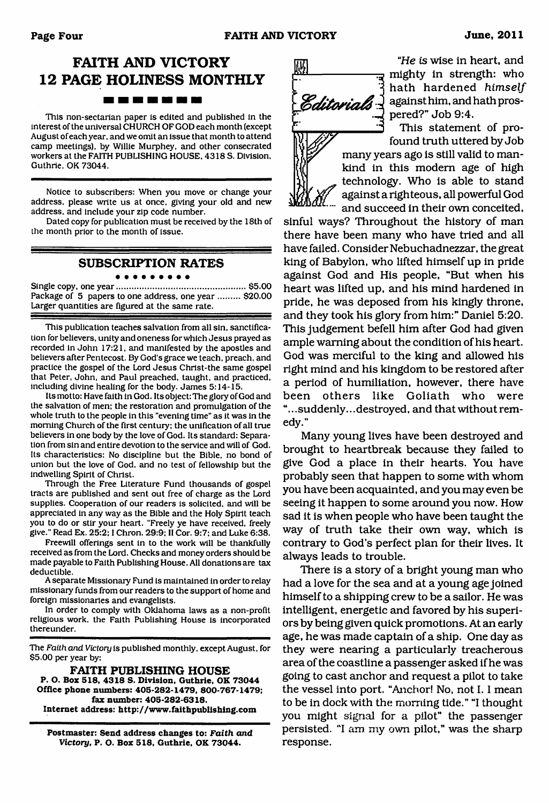## **FAITH AND VICTORY 12 PAGE HOLINESS MONTHLY**

-------

This non-sectarian paper is edited and published in the interest of the universal CHURCH OF GOD each month (except August of each year, and we omit an issue that month to attend camp meetings), by Willie Murphey. and other consecrated workers at the FAITH PUBLISHING HOUSE, 4318 S. Division, Guthrie. OK 73044.

Notice to subscribers: When you move or change your address, please write us at once, giving your old and new address, and include your zip code number.

Dated copy for publication must be received by the 18th of the month prior to the month of issue.

#### **SUBSCRIPTION RATES**

#### . . . . . . . . . Single copy, one year......................................................\$5.00

Package of 5 papers to one address, one year ......... \$20.00 Larger quantities are figured at the same rate.

This publication teaches salvation from all sin. sanctification for believers, unity and oneness for which Jesus prayed as recorded in John 17:21, and manifested by the apostles and believers after Pentecost. By God's grace we teach, preach, and practice the gospel of the Lord Jesus Christ-the same gospel that Peter, John, and Paul preached, taught, and practiced, including divine healing for the body. James 5:14-15.

Its motto: Have faith in God. Its object: The glory of God and the salvation of men: the restoration and promulgation of the whole truth to the people in this "evening time" as it was in the morning Church of the first century: the unification of all true believers in one body by the love of God. Its standard: Separation from sin and entire devotion to the service and will of God. Its characteristics: No discipline but the Bible, no bond of union but the love of God, and no test of fellowship but the indwelling Spirit of Christ.

Through the Free Literature Fund thousands of gospel tracts are published and sent out free of charge as the Lord supplies. Cooperation of our readers is solicited, and will be appreciated in any way as the Bible and the Holy Spirit teach you to do or stir your heart. "Freely ye have received, freely give." Read Ex. 25:2:1 Chron. 29:9; II Cor. 9:7: and Luke 6:38.

Freewill offerings sent in to the work will be thankfully received as from the Lord. Checks and money orders should be made payable to Faith Publishing House. All donations are tax deductible.

A separate Missionary Fund is maintained in order to relay missionary funds from our readers to the support of home and foreign missionaries and evangelists.

In order to comply with Oklahoma laws as a non-profit religious work, the Faith Publishing House is incorporated thereunder.

The Faith and Victory is published monthly, except August, for \$5.00 per year by:

**FAITH PUBLISHING HOUSE P. O. Box 518, 4318 S. Division, Guthrie, OK 73044 Office phone numbers: 405-282-1479, 800-767-1479; fax number: 405-282-6318. Internet address: <http://www.faithpublishing.com>**

**Postmaster: Send address changes to:** *Faith and Victory,* **P. O. Box 518, Guthrie, OK 73044.**



*"He is* wise in heart, and mighty in strength: who hath hardened *himself* Editorials 3 against him, and hath prospered?" Job 9:4.

> This statement of profound truth uttered by Job many years ago is still valid to mankind in this modem age of high technology. Who is able to stand against a righteous, all powerful God and succeed in their own conceited,

sinful ways? Throughout the history of man there have been many who have tried and all have failed. Consider Nebuchadnezzar, the great king of Babylon, who lifted himself up in pride against God and His people, "But when his heart was lifted up, and his mind hardened in pride, he was deposed from his kingly throne, and they took his glory from him:" Daniel 5:20. This judgement befell him after God had given ample warning about the condition of his heart. God was merciful to the king and allowed his right mind and his kingdom to be restored after a period of humiliation, however, there have been others like Goliath who were "...suddenly... destroyed, and that without remedy."

Many young lives have been destroyed and brought to heartbreak because they failed to give God a place in their hearts. You have probably seen that happen to some with whom you have been acquainted, and you may even be seeing it happen to some around you now. How sad it is when people who have been taught the way of truth take their own way, which is contrary to God's perfect plan for their lives. It always leads to trouble.

There is a story of a bright young man who had a love for the sea and at a young age joined himself to a shipping crew to be a sailor. He was intelligent, energetic and favored by his superiors by being given quick promotions. At an early age, he was made captain of a ship. One day as they were nearing a particularly treacherous area of the coastline a passenger asked if he was going to cast anchor and request a pilot to take the vessel into port. "Anchor! No, not 1.1 mean to be in dock with the morning tide." "I thought you might signal for a pilot" the passenger persisted. "I am my own pilot," was the sharp response.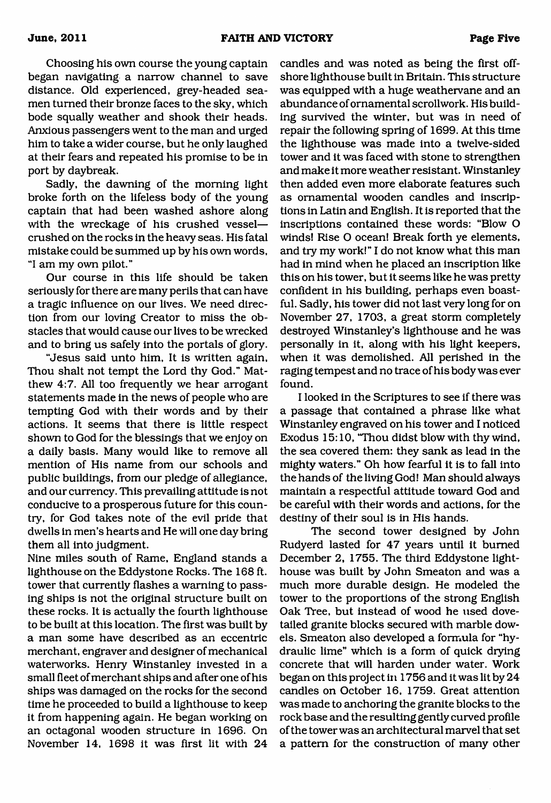Choosing his own course the young captain began navigating a narrow channel to save distance. Old experienced, grey-headed seamen turned their bronze faces to the sky, which bode squally weather and shook their heads. Anxious passengers went to the man and urged him to take a wider course, but he only laughed at their fears and repeated his promise to be in port by daybreak.

Sadly, the dawning of the morning light broke forth on the lifeless body of the young captain that had been washed ashore along with the wreckage of his crushed vessel crushed on the rocks in the heavy seas. His fatal mistake could be summed up by his own words, "I am my own pilot."

Our course in this life should be taken seriously for there are many perils that can have a tragic influence on our lives. We need direction from our loving Creator to miss the obstacles that would cause our lives to be wrecked and to bring us safely into the portals of glory.

"Jesus said unto him. It is written again, Thou shalt not tempt the Lord thy God." Matthew 4:7. All too frequently we hear arrogant statements made in the news of people who are tempting God with their words and by their actions. It seems that there is little respect shown to God for the blessings that we enjoy on a daily basis. Many would like to remove all mention of His name from our schools and public buildings, from our pledge of allegiance, and our currency. This prevailing attitude is not conducive to a prosperous future for this country, for God takes note of the evil pride that dwells in men's hearts and He will one day bring them all into judgment.

Nine miles south of Rame, England stands a lighthouse on the Eddystone Rocks. The 168 ft. tower that currently flashes a warning to passing ships is not the original structure built on these rocks. It is actually the fourth lighthouse to be built at this location. The first was built by a man some have described as an eccentric merchant, engraver and designer of mechanical waterworks. Henry Winstanley invested in a small fleet of merchant ships and after one of his ships was damaged on the rocks for the second time he proceeded to build a lighthouse to keep it from happening again. He began working on an octagonal wooden structure in 1696. On November 14, 1698 it was first lit with 24

candles and was noted as being the first offshore lighthouse built in Britain. This structure was equipped with a huge weathervane and an abundance of ornamental scrollwork. His building survived the winter, but was in need of repair the following spring of 1699. At this time the lighthouse was made into a twelve-sided tower and it was faced with stone to strengthen and make it more weather resistant. Winstanley then added even more elaborate features such as ornamental wooden candles and inscriptions in Latin and English. It is reported that the inscriptions contained these words: "Blow O winds! Rise O ocean! Break forth ye elements, and try my work!" I do not know what this man had in mind when he placed an inscription like this on his tower, but it seems like he was pretty confident in his building, perhaps even boastful. Sadly, his tower did not last very long for on November 27, 1703, a great storm completely destroyed Winstanley's lighthouse and he was personally in it, along with his light keepers, when it was demolished. All perished in the raging tempest and no trace of his body was ever found.

I looked in the Scriptures to see if there was a passage that contained a phrase like what Winstanley engraved on his tower and I noticed Exodus 15:10, "Thou didst blow with thy wind, the sea covered them: they sank as lead in the mighty waters." Oh how fearful it is to fall into the hands of the living God! Man should always maintain a respectful attitude toward God and be careful with their words and actions, for the destiny of their soul is in His hands.

The second tower designed by John Rudyerd lasted for 47 years until it burned December 2, 1755. The third Eddystone lighthouse was built by John Smeaton and was a much more durable design. He modeled the tower to the proportions of the strong English Oak Tree, but instead of wood he used dovetailed granite blocks secured with marble dowels. Smeaton also developed a formula for "hydraulic lime" which is a form of quick drying concrete that will harden under water. Work began on this project in 1756 and it was lit by 24 candles on October 16, 1759. Great attention was made to anchoring the granite blocks to the rock base and the resulting gently curved profile of the tower was an architectural marvel that set a pattern for the construction of many other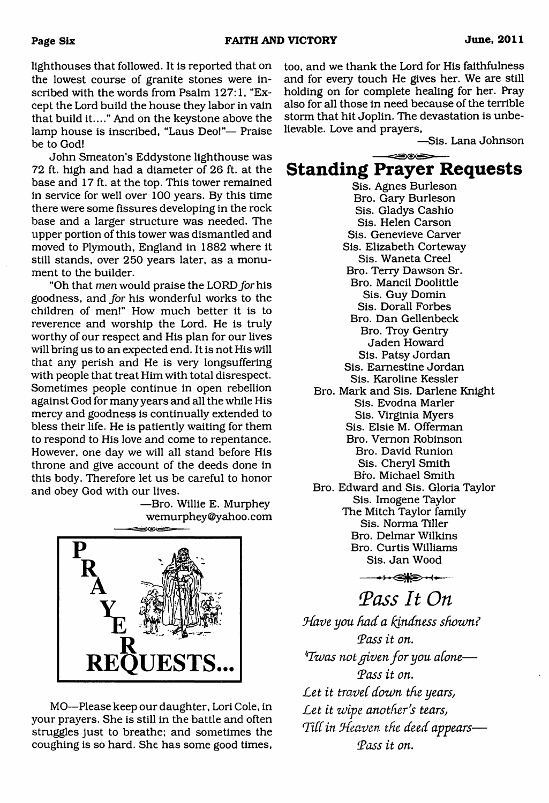lighthouses that followed. It is reported that on the lowest course of granite stones were inscribed with the words from Psalm 127:1, "Except the Lord build the house they labor in vain that build it...." And on the keystone above the lamp house is inscribed, "Laus Deo!"— Praise be to God!

John Smeaton's Eddystone lighthouse was 72 ft. high and had a diameter of 26 ft. at the base and 17 ft. at the top. This tower remained in service for well over 100 years. By this time there were some fissures developing in the rock base and a larger structure was needed. The upper portion of this tower was dismantled and moved to Plymouth, England in 1882 where it still stands, over 250 years later, as a monument to the builder.

"Oh that *men* would praise the LORD for his goodness, and *for* his wonderful works to the children of men!" How much better it is to reverence and worship the Lord. He is truly worthy of our respect and His plan for our lives will bring us to an expected end. It is not His will that any perish and He is very longsuffering with people that treat Him with total disrespect. Sometimes people continue in open rebellion against God for many years and all the while His mercy and goodness is continually extended to bless their life. He is patiently waiting for them to respond to His love and come to repentance. However, one day we will all stand before His throne and give account of the deeds done in this body. Therefore let us be careful to honor and obey God with our lives.

> —Bro. Willie E. Murphey [wemurphey@yahoo.com](mailto:wemurphey@yahoo.com)



MO—Please keep our daughter, Lori Cole, in your prayers. She is still in the battle and often struggles just to breathe; and sometimes the coughing is so hard. She has some good times,

too, and we thank the Lord for His faithfulness and for every touch He gives her. We are still holding on for complete healing for her. Pray also for all those in need because of the terrible storm that hit Joplin. The devastation is unbelievable. Love and prayers,

—Sis. Lana Johnson

### 806 **Standing Prayer Requests**

Sis. Agnes Burleson Bro. Gary Burleson Sis. Gladys Cashio Sis. Helen Carson Sis. Genevieve Carver Sis. Elizabeth Corteway Sis. Waneta Creel Bro. Terry Dawson Sr. Bro. Mancil Doolittle Sis. Guy Domin Sis. Dorall Forbes Bro. Dan Gellenbeck Bro. Troy Gentry Jaden Howard Sis. Patsy Jordan Sis. Eamestine Jordan Sis. Karoline Kessler Bro. Mark and Sis. Darlene Knight Sis. Evodna Marler Sis. Virginia Myers Sis. Elsie M. Offerman Bro. Vernon Robinson Bro. David Runion Sis. Cheryl Smith Bro. Michael Smith Bro. Edward and Sis. Gloria Taylor Sis. Imogene Taylor The Mitch Taylor family Sis. Norma Tiller Bro. Delmar Wilkins Bro. Curtis Williams Sis. Jan Wood

 $\leftrightarrow$ 

*iPass It On*

Have you had a kindness shown? *tPass it on. 'Twas not given for you alone*— *Toss it on.* Let it travel down the years, Let it wipe another's tears, *L id in iKeaven the deed appears***—** *'Lass it on.*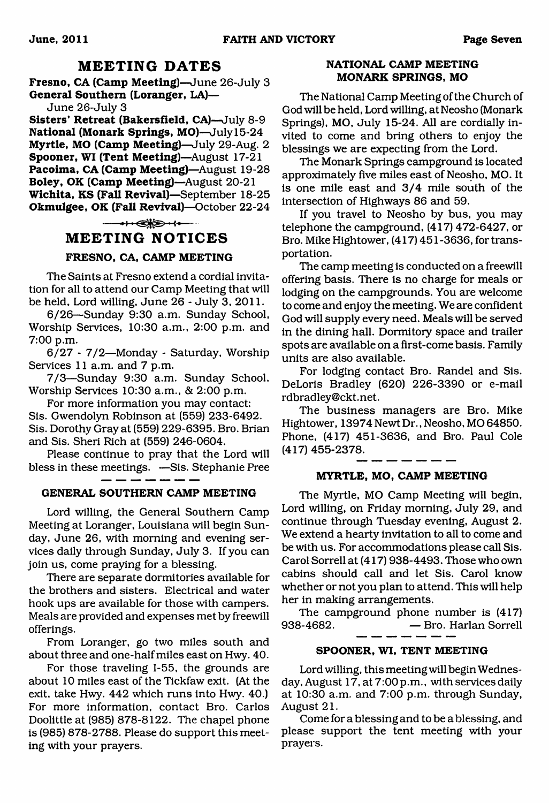### **MEETING DATES**

**Fresno, CA (Camp Meeting)**—June 26-July 3 **General Southern (Loranger, LA)—**

June 26-July 3

**Sisters' Retreat (Bakersfield, CA)**—July 8-9 **National (Monark Springs, MO)**—July 15-24 **Myrtle, MO (Camp Meeting)**—July 29-Aug. 2 **Spooner, WI (Tent Meeting)**—August 17-21 **Pacoima, CA (Camp Meeting)**—August 19-28 **Boley, OK (Camp Meeting)**—August 20-21 **Wichita, KS (Fall Revival)**—September 18-25 **Okmulgee, OK (Fall Revival)**—October 22-24

 $\longrightarrow \bullet$ 

#### **MEETING NOTICES**

#### **FRESNO, CA, CAMP MEETING**

The Saints at Fresno extend a cordial invitation for all to attend our Camp Meeting that will be held. Lord willing, June 26 - July 3, 2011.

6/26—Sunday 9:30 a.m. Sunday School, Worship Services, 10:30 a.m., 2:00 p.m. and 7:00 p.m.

6/27 - 7/2—Monday - Saturday, Worship Services 11 a.m. and 7 p.m.

7/3—Sunday 9:30 a.m. Sunday School, Worship Services 10:30 a.m., & 2:00 p.m.

For more information you may contact: Sis. Gwendolyn Robinson at (559) 233-6492. Sis. Dorothy Gray at (559) 229-6395. Bro. Brian and Sis. Sheri Rich at (559) 246-0604.

Please continue to pray that the Lord will bless in these meetings. —Sis. Stephanie Pree

#### **GENERAL SOUTHERN CAMP MEETING**

Lord willing, the General Southern Camp Meeting at Loranger, Louisiana will begin Sunday, June 26, with morning and evening services daily through Sunday, July 3. If you can join us, come praying for a blessing.

There are separate dormitories available for the brothers and sisters. Electrical and water hook ups are available for those with campers. Meals are provided and expenses met by freewill offerings.

From Loranger, go two miles south and about three and one-half miles east on Hwy. 40.

For those traveling 1-55, the grounds are about 10 miles east of the Tickfaw exit. (At the exit, take Hwy. 442 which runs into Hwy. 40.) For more information, contact Bro. Carlos Doolittle at (985) 878-8122. The chapel phone is (985) 878-2788. Please do support this meeting with your prayers.

#### **NATIONAL CAMP MEETING MONARK SPRINGS, MO**

The National Camp Meeting of the Church of God will be held, Lord willing, at Neosho (Monark Springs), MO, July 15-24. All are cordially invited to come and bring others to enjoy the blessings we are expecting from the Lord.

The Monark Springs campground is located approximately five miles east of Neosho, MO. It is one mile east and 3/4 mile south of the intersection of Highways 86 and 59.

If you travel to Neosho by bus, you may telephone the campground, (417) 472-6427, or Bro. Mike Hightower, (417) 451 -3636, for transportation.

The camp meeting is conducted on a freewill offering basis. There is no charge for meals or lodging on the campgrounds. You are welcome to come and enjoy the meeting. We are confident God will supply every need. Meals will be served in the dining hall. Dormitory space and trailer spots are available on a first-come basis. Family units are also available.

For lodging contact Bro. Randel and Sis. DeLoris Bradley (620) 226-3390 or e-mail rdbradley @ckt. net.

The business managers are Bro. Mike Hightower, 13974 Newt Dr., Neosho, MO 64850. Phone, (417) 451-3636, and Bro. Paul Cole (417) 455-2378.

#### **MYRTLE, MO, CAMP MEETING**

The Myrtle, MO Camp Meeting will begin, Lord willing, on Friday morning, July 29, and continue through Tuesday evening, August 2. We extend a hearty invitation to all to come and be with us. For accommodations please call Sis. Carol Sorrell at (417) 938-4493. Those who own cabins should call and let Sis. Carol know whether or not you plan to attend. This will help her in making arrangements.

The campground phone number is (417) 938-4682. — Bro. Harlan Sorrell

#### **SPOONER, WI, TENT MEETING**

Lord willing, this meeting will begin Wednesday, August 17, at 7:00 p.m., with services daily at 10:30 a.m. and 7:00 p.m. through Sunday, August 21.

Come for a blessing and to be a blessing, and please support the tent meeting with your prayers.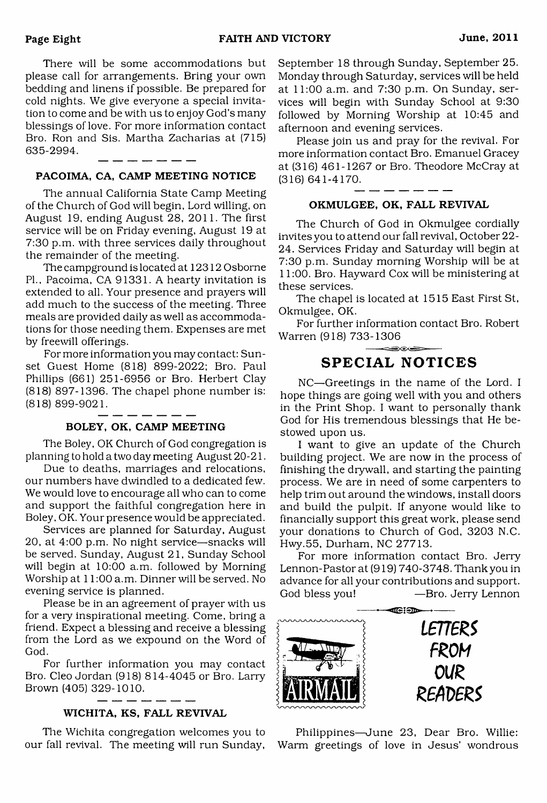There will be some accommodations but please call for arrangements. Bring your own bedding and linens if possible. Be prepared for cold nights. We give everyone a special invitation to come and be with us to enjoy God's many blessings of love. For more information contact Bro. Ron and Sis. Martha Zacharias at (715) 635-2994.

#### PACOIMA, CA, CAMP MEETING NOTICE

The annual California State Camp Meeting of the Church of God will begin, Lord willing, on August 19, ending August 28, 2011. The first service will be on Friday evening, August 19 at 7:30 p.m. with three services daily throughout the remainder of the meeting.

The campground is located at 12312 Osborne PL, Pacoima, CA 91331. A hearty invitation is extended to all. Your presence and prayers will add much to the success of the meeting. Three meals are provided daily as well as accommodations for those needing them. Expenses are met by freewill offerings.

For more information you may contact: Sunset Guest Home (818) 899-2022; Bro. Paul Phillips (661) 251-6956 or Bro. Herbert Clay (818) 897-1396. The chapel phone number is: (818) 899-9021.

#### BOLEY, OK, CAMP MEETING

The Boley, OK Church of God congregation is planning to hold a two day meeting August 20-21.

Due to deaths, marriages and relocations, our numbers have dwindled to a dedicated few. We would love to encourage all who can to come and support the faithful congregation here in Boley, OK. Your presence would be appreciated.

Services are planned for Saturday, August 20, at 4:00 p.m. No night service—snacks will be served. Sunday, August 21, Sunday School will begin at 10:00 a.m. followed by Morning Worship at 11:00 a.m. Dinner will be served. No evening service is planned.

Please be in an agreement of prayer with us for a very inspirational meeting. Come, bring a friend. Expect a blessing and receive a blessing from the Lord as we expound on the Word of God.

For further information you may contact Bro. Cleo Jordan (918) 814-4045 or Bro. Larry Brown (405) 329-1010.

#### WICHITA, KS, FALL REVIVAL

The Wichita congregation welcomes you to our fall revival. The meeting will run Sunday,

September 18 through Sunday, September 25. Monday through Saturday, services will be held at 11:00 a.m. and 7:30 p.m. On Sunday, services will begin with Sunday School at 9:30 followed by Morning Worship at 10:45 and afternoon and evening services.

Please join us and pray for the revival. For more information contact Bro. Emanuel Gracey at (316) 461-1267 or Bro. Theodore McCray at (316) 641-4170.

#### OKMULGEE, OK, FALL REVIVAL

The Church of God in Okmulgee cordially invites you to attend our fall revival, October 22- 24. Services Friday and Saturday will begin at 7:30 p.m. Sunday morning Worship will be at 11:00. Bro. Hayward Cox will be ministering at these services.

The chapel is located at 1515 East First St, Okmulgee, OK.

For further information contact Bro. Robert Warren (918) 733-1306

### **SPECIAL NOTICES**

NC—Greetings in the name of the Lord. I hope things are going well with you and others in the Print Shop. I want to personally thank God for His tremendous blessings that He bestowed upon us.

I want to give an update of the Church building project. We are now in the process of finishing the drywall, and starting the painting process. We are in need of some carpenters to help trim out around the windows, install doors and build the pulpit. If anyone would like to financially support this great work, please send your donations to Church of God, 3203 N.C. Hwy.55, Durham, NC 27713.

For more information contact Bro. Jerry Lennon-Pastor at (919) 740-3748. Thank you in advance for all your contributions and support. God bless you! —Bro. Jerry Lennon



Philippines—June 23, Dear Bro. Willie: Warm greetings of love in Jesus' wondrous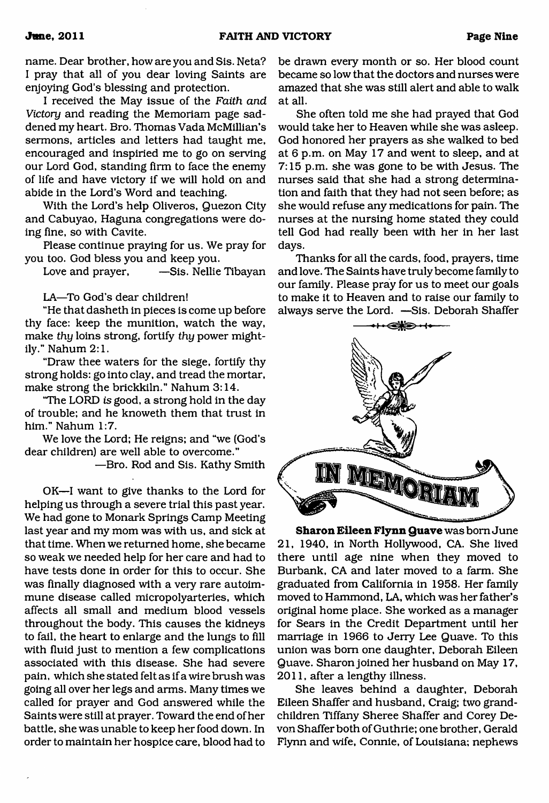name. Dear brother, how are you and Sis. Neta? I pray that all of you dear loving Saints are enjoying God's blessing and protection.

I received the May issue of the *Faith and* Victory and reading the Memoriam page saddened my heart. Bro. Thomas Vada McMillian's sermons, articles and letters had taught me, encouraged and inspiried me to go on serving our Lord God, standing firm to face the enemy of life and have victory if we will hold on and abide in the Lord's Word and teaching.

With the Lord's help Oliveros, Quezon City and Cabuyao, Haguna congregations were doing fine, so with Cavite.

Please continue praying for us. We pray for you too. God bless you and keep you.

Love and prayer, —Sis. Nellie Tibayan

LA—To God's dear children!

"He that dasheth in pieces is come up before thy face: keep the munition, watch the way, make *thy* loins strong, fortify *thy* power mightily." Nahum 2:1.

"Draw thee waters for the siege, fortify thy strong holds: go into clay, and tread the mortar, make strong the brickkiln." Nahum 3:14.

"The LORD *is* good, a strong hold in the day of trouble; and he knoweth them that trust in him." Nahum 1:7.

We love the Lord; He reigns; and "we (God's dear children) are well able to overcome."

—Bro. Rod and Sis. Kathy Smith

OK—I want to give thanks to the Lord for helping us through a severe trial this past year. We had gone to Monark Springs Camp Meeting last year and my mom was with us, and sick at that time. When we returned home, she became so weak we needed help for her care and had to have tests done in order for this to occur. She was finally diagnosed with a very rare autoimmune disease called micropolyarteries, which affects all small and medium blood vessels throughout the body. This causes the kidneys to fail, the heart to enlarge and the lungs to fill with fluid just to mention a few complications associated with this disease. She had severe pain, which she stated felt as if a wire brush was going all over her legs and arms. Many times we called for prayer and God answered while the Saints were still at prayer. Toward the end of her battle, she was unable to keep her food down. In order to maintain her hospice care, blood had to

be drawn every month or so. Her blood count became so low that the doctors and nurses were amazed that she was still alert and able to walk at all.

She often told me she had prayed that God would take her to Heaven while she was asleep. God honored her prayers as she walked to bed at 6 p.m. on May 17 and went to sleep, and at 7:15 p.m. she was gone to be with Jesus. The nurses said that she had a strong determination and faith that they had not seen before; as she would refuse any medications for pain. The nurses at the nursing home stated they could tell God had really been with her in her last days.

Thanks for all the cards, food, prayers, time and love. The Saints have truly become family to our family. Please pray for us to meet our goals to make it to Heaven and to raise our family to always serve the Lord. —Sis. Deborah Shaffer



**Sharon Eileen Flynn Quave** was bom June 21, 1940, in North Hollywood, CA. She lived there until age nine when they moved to Burbank, CA and later moved to a farm. She graduated from California in 1958. Her family moved to Hammond, LA, which was her father's original home place. She worked as a manager for Sears in the Credit Department until her marriage in 1966 to Jerry Lee Quave. To this union was bom one daughter, Deborah Eileen Quave. Sharon joined her husband on May 17, 2011, after a lengthy illness.

She leaves behind a daughter, Deborah Eileen Shaffer and husband, Craig; two grandchildren Tiffany Sheree Shaffer and Corey Devon Shaffer both of Guthrie; one brother, Gerald Flynn and wife, Connie, of Louisiana; nephews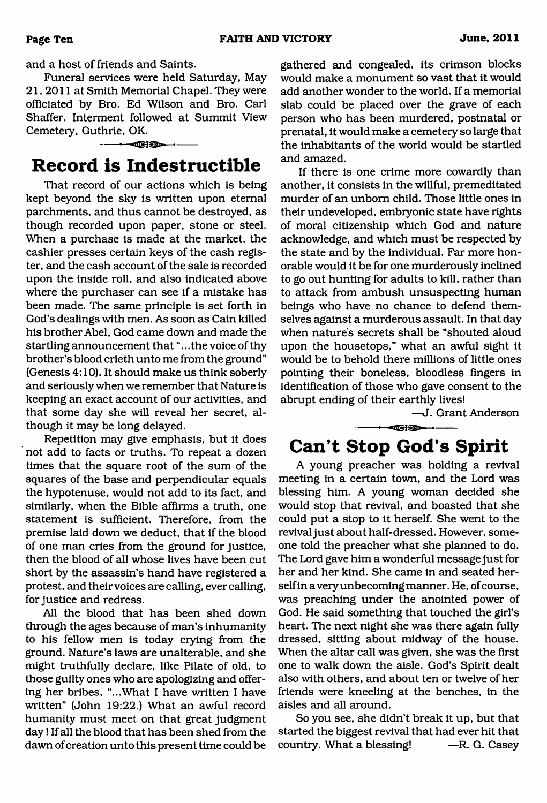and a host of friends and Saints.

Funeral services were held Saturday, May 21, 2011 at Smith Memorial Chapel. They were officiated by Bro. Ed Wilson and Bro. Carl Shaffer. Interment followed at Summit View Cemetery, Guthrie, OK.

### <span id="page-9-0"></span> $\overline{\phantom{a}}$  is  $\overline{\phantom{a}}$  in  $\overline{\phantom{a}}$ **Record is Indestructible**

That record of our actions which is being kept beyond the sky is written upon eternal parchments, and thus cannot be destroyed, as though recorded upon paper, stone or steel. When a purchase is made at the market, the cashier presses certain keys of the cash register, and the cash account of the sale is recorded upon the inside roll, and also indicated above where the purchaser can see if a mistake has been made. The same principle is set forth in God's dealings with men. As soon as Cain killed his brother Abel, God came down and made the startling announcement that "...the voice of thy brother's blood crieth unto me from the ground" (Genesis 4:10). It should make us think soberly and seriously when we remember that Nature is keeping an exact account of our activities, and that some day she will reveal her secret, although it may be long delayed.

Repetition may give emphasis, but it does not add to facts or truths. To repeat a dozen times that the square root of the sum of the squares of the base and perpendicular equals the hypotenuse, would not add to its fact, and similarly, when the Bible affirms a truth, one statement is sufficient. Therefore, from the premise laid down we deduct, that if the blood of one man cries from the ground for justice, then the blood of all whose lives have been cut short by the assassin's hand have registered a protest, and their voices are calling, ever calling, for justice and redress.

All the blood that has been shed down through the ages because of man's inhumanity to his fellow men is today crying from the ground. Nature's laws are unalterable, and she might truthfully declare, like Pilate of old, to those guilty ones who are apologizing and offering her bribes, "...What I have written I have written" (John 19:22.) What an awful record humanity must meet on that great judgment day! If all the blood that has been shed from the dawn of creation unto this present time could be gathered and congealed, its crimson blocks would make a monument so vast that it would add another wonder to the world. If a memorial slab could be placed over the grave of each person who has been murdered, postnatal or prenatal, it would make a cemetery so large that the inhabitants of the world would be startled and amazed.

If there is one crime more cowardly than another, it consists in the willful, premeditated murder of an unborn child. Those little ones in their undeveloped, embryonic state have rights of moral citizenship which God and nature acknowledge, and which must be respected by the state and by the individual. Far more honorable would it be for one murderously inclined to go out hunting for adults to kill, rather than to attack from ambush unsuspecting human beings who have no chance to defend themselves against a murderous assault. In that day when nature's secrets shall be "shouted aloud upon the housetops," what an awful sight it would be to behold there millions of little ones pointing their boneless, bloodless fingers in identification of those who gave consent to the abrupt ending of their earthly lives!

—J. Grant Anderson

## <span id="page-9-1"></span>**Can't Stop God's Spirit**

 $- -$ 

A young preacher was holding a revival meeting in a certain town, and the Lord was blessing him. A young woman decided she would stop that revival, and boasted that she could put a stop to it herself. She went to the revival just about half-dressed. However, someone told the preacher what she planned to do. The Lord gave him a wonderful message just for her and her kind. She came in and seated herself in a very unbecoming manner. He, of course, was preaching under the anointed power of God. He said something that touched the girl's heart. The next night she was there again fully dressed, sitting about midway of the house. When the altar call was given, she was the first one to walk down the aisle. God's Spirit dealt also with others, and about ten or twelve of her friends were kneeling at the benches, in the aisles and all around.

So you see, she didn't break it up, but that started the biggest revival that had ever hit that country. What a blessing! —R. G. Casey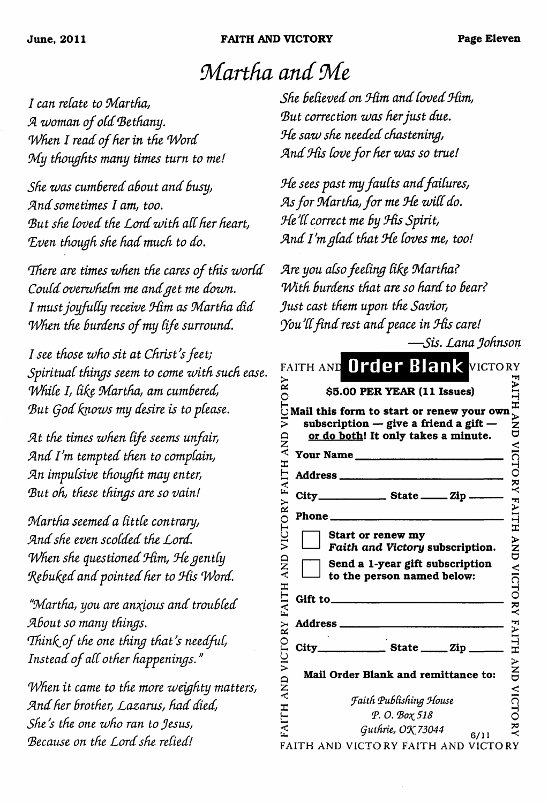**June, 2011 FAITH AND VICTORY Page Eleven**

## *Martha and Me*

*I* can relate to Martha,  $A$  woman of old Bethany. *When I read of her in the Word My thoughts many times turn to me!* 

*She was cum6ered a6out and Susy, Sind sometimes I am, too. B ut she Coved the Lord zvith aCCher heart, Lven though she had much to do.*

There are times when the cares of this world *Could overwhelm me and get me down. I must joyfully receive Him as Martha did When the burdens of my life surround.* 

*I see those who sit at Christ's feet; Spiritual things seem to come with such ease. W hile I, tike M artha, am cumbered,* But God knows my desire is to please.

*Sit the times when Cife seems unfair, Sind I'm tempted then to complain, Sin impulsive thought may enter, B ut oh, these things are so vain!*

*M artha seemed a CittCe contrary, Sind she even scolded the Lord. When she questioned Him, He gently Jfybuked and pointed her to M is Word.*

*'M artha, you are anxious and troubled Sibout so many things. 'Ih in C iof the one thing that's needful, Instead of all other happenings.*"

*When it came to the more weighty matters, Sind her brother, Lazarus, had died, She's the one who ran to Jesus,* Because on the Lord she relied!

*She Setieved on M im and Coved Slim,* But correction was her just due. *Me saw she needed chastening, Sind M is Cove f o r her was so true!*

*He sees past my faults and failures,* As for Martha, for me He will do. *Me 'CCcorrect me By M is S pirit,* And I'm glad that He loves me, too!

*Are you also feeling like Martha?* With burdens that are so hard to bear? *Just cast them upon the Savior, You'll find rest and peace in His care!* 

|                | -Sis. Lana Johnson                                                                                                                                                                                                                |                      |
|----------------|-----------------------------------------------------------------------------------------------------------------------------------------------------------------------------------------------------------------------------------|----------------------|
|                | FAITH AND Order Blank VICTORY                                                                                                                                                                                                     |                      |
|                |                                                                                                                                                                                                                                   |                      |
| QNY            | $\begin{array}{ll}\n\approx & \text{S5.00 PER YEAR (11 Issues)}\\ \text{C}\\ \text{Mail this form to start or renewal your own}\\ \text{subscript on — give a friend a gift}\n\end{array}$<br>or do both! It only takes a minute. | <b>AITH AND</b>      |
|                | Your Name                                                                                                                                                                                                                         |                      |
| <b>FAITH</b>   | Address ________________________                                                                                                                                                                                                  |                      |
|                |                                                                                                                                                                                                                                   | <b>VICTORY FAITH</b> |
|                | Phone                                                                                                                                                                                                                             |                      |
| VICTORY        | Start or renew my<br>Faith and Victory subscription.                                                                                                                                                                              | <b>AND</b>           |
| <b>AND</b>     | Send a 1-year gift subscription<br>to the person named below:                                                                                                                                                                     |                      |
| FAITH          |                                                                                                                                                                                                                                   | <b>VICTORY FAITH</b> |
|                | Address ______                                                                                                                                                                                                                    |                      |
| VICTORY        | $City$ $State$ $Zip$ $\_$                                                                                                                                                                                                         |                      |
| $\overline{R}$ | Mail Order Blank and remittance to:                                                                                                                                                                                               | I<br>N<br>N<br>D     |
|                | <b>Faith Publishing House</b>                                                                                                                                                                                                     | <b>VICTO</b>         |
| FAITH          | Р. О. Вох 518                                                                                                                                                                                                                     |                      |
|                | Guthrie, OK 73044<br>6/11                                                                                                                                                                                                         | $\check{\vec{z}}$    |
|                | FAITH AND VICTORY FAITH AND VICTORY                                                                                                                                                                                               |                      |